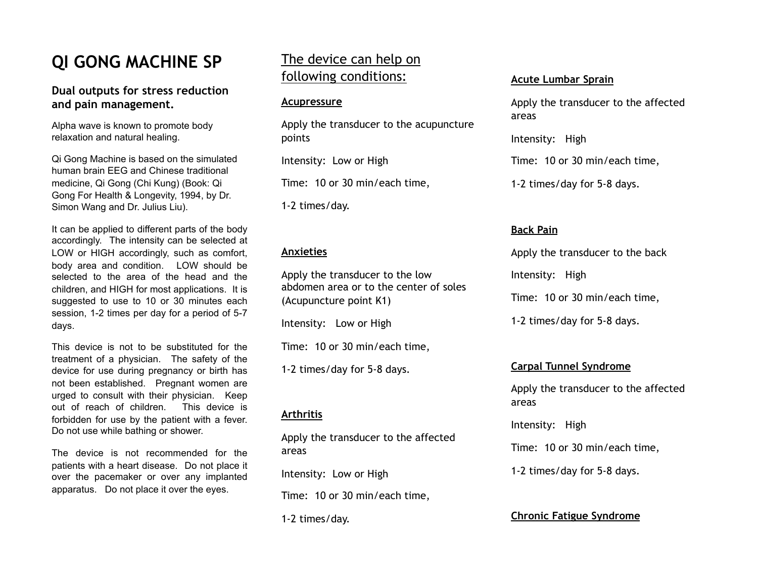# **QI GONG MACHINE SP**

## **Dual outputs for stress reduction and pain management.**

Alpha wave is known to promote body relaxation and natural healing.

Qi Gong Machine is based on the simulated human brain EEG and Chinese traditional medicine, Qi Gong (Chi Kung) (Book: Qi Gong For Health & Longevity, 1994, by Dr. Simon Wang and Dr. Julius Liu).

It can be applied to different parts of the body accordingly. The intensity can be selected at LOW or HIGH accordingly, such as comfort, body area and condition. LOW should be selected to the area of the head and the children, and HIGH for most applications. It is suggested to use to 10 or 30 minutes each session, 1-2 times per day for a period of 5-7 days.

This device is not to be substituted for the treatment of a physician. The safety of the device for use during pregnancy or birth has not been established. Pregnant women are urged to consult with their physician. Keep out of reach of children. This device is forbidden for use by the patient with a fever. Do not use while bathing or shower.

The device is not recommended for the patients with a heart disease. Do not place it over the pacemaker or over any implanted apparatus. Do not place it over the eyes.

## The device can help on following conditions:

#### **Acupressure**

Apply the transducer to the acupuncture points

Intensity: Low or High

Time: 10 or 30 min/each time,

1-2 times/day.

#### **Anxieties**

Apply the transducer to the low abdomen area or to the center of soles (Acupuncture point K1)

Intensity: Low or High

Time: 10 or 30 min/each time,

1-2 times/day for 5-8 days.

## **Arthritis**

Apply the transducer to the affected areas

Intensity: Low or High

Time: 10 or 30 min/each time,

1-2 times/day.

#### **Acute Lumbar Sprain**

Apply the transducer to the affected areas

Intensity: High

Time: 10 or 30 min/each time,

1-2 times/day for 5-8 days.

## **Back Pain**

Apply the transducer to the back Intensity: High Time: 10 or 30 min/each time, 1-2 times/day for 5-8 days.

## **Carpal Tunnel Syndrome**

Apply the transducer to the affected areas

Intensity: High

Time: 10 or 30 min/each time,

1-2 times/day for 5-8 days.

## **Chronic Fatigue Syndrome**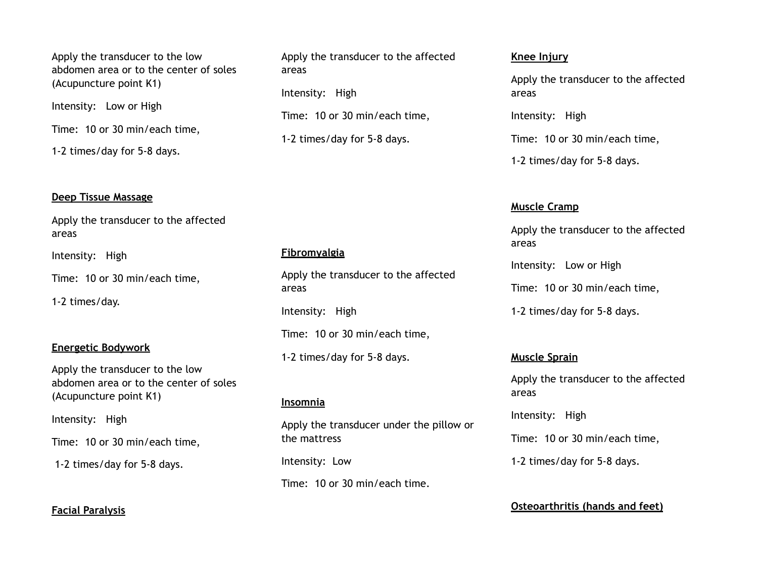Apply the transducer to the low abdomen area or to the center of soles (Acupuncture point K1)

Intensity: Low or High

Time: 10 or 30 min/each time,

1-2 times/day for 5-8 days.

#### **Deep Tissue Massage**

Apply the transducer to the affected areas

Intensity: High

Time: 10 or 30 min/each time,

1-2 times/day.

#### **Energetic Bodywork**

Apply the transducer to the low abdomen area or to the center of soles (Acupuncture point K1)

Intensity: High

Time: 10 or 30 min/each time,

1-2 times/day for 5-8 days.

## **Facial Paralysis**

Apply the transducer to the affected areas

Intensity: High

Time: 10 or 30 min/each time,

1-2 times/day for 5-8 days.

## **Fibromyalgia**

Apply the transducer to the affected areas

Intensity: High

Time: 10 or 30 min/each time,

1-2 times/day for 5-8 days.

#### **Insomnia**

Apply the transducer under the pillow or the mattress

Intensity: Low

Time: 10 or 30 min/each time.

#### **Knee Injury**

Apply the transducer to the affected areas

Intensity: High

Time: 10 or 30 min/each time,

1-2 times/day for 5-8 days.

#### **Muscle Cramp**

Apply the transducer to the affected areas

Intensity: Low or High

Time: 10 or 30 min/each time,

1-2 times/day for 5-8 days.

## **Muscle Sprain**

Apply the transducer to the affected areas

Intensity: High Time: 10 or 30 min/each time,

1-2 times/day for 5-8 days.

#### **Osteoarthritis (hands and feet)**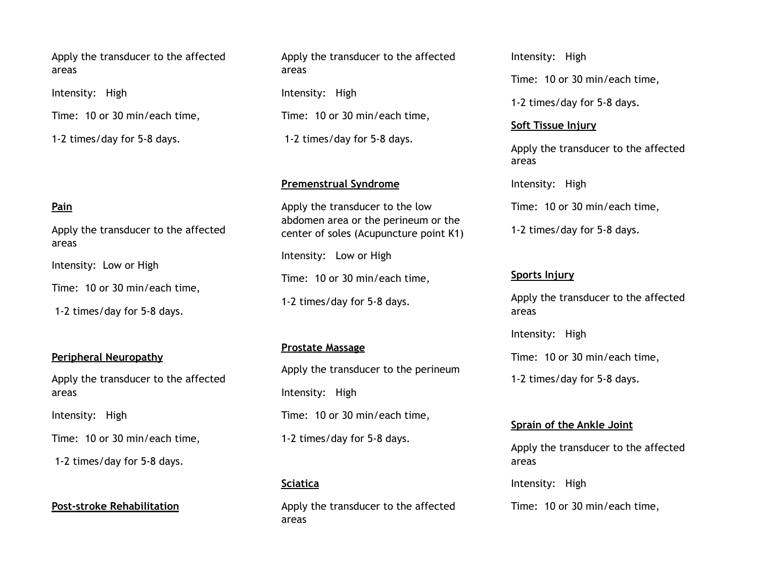Apply the transducer to the affected areas

Intensity: High

Time: 10 or 30 min/each time,

1-2 times/day for 5-8 days.

#### **Pain**

Apply the transducer to the affected areas

Intensity: Low or High

Time: 10 or 30 min/each time,

1-2 times/day for 5-8 days.

#### **Peripheral Neuropathy**

Apply the transducer to the affected areas

Intensity: High

Time: 10 or 30 min/each time,

1-2 times/day for 5-8 days.

**Post-stroke Rehabilitation**

Apply the transducer to the affected areas

Intensity: High

Time: 10 or 30 min/each time,

1-2 times/day for 5-8 days.

#### **Premenstrual Syndrome**

Apply the transducer to the low abdomen area or the perineum or the center of soles (Acupuncture point K1) Intensity: Low or High Time: 10 or 30 min/each time, 1-2 times/day for 5-8 days.

#### **Prostate Massage**

Apply the transducer to the perineum Intensity: High Time: 10 or 30 min/each time, 1-2 times/day for 5-8 days.

#### **Sciatica**

Apply the transducer to the affected areas

Intensity: High

Time: 10 or 30 min/each time,

1-2 times/day for 5-8 days.

#### **Soft Tissue Injury**

Apply the transducer to the affected areas

Intensity: High

Time: 10 or 30 min/each time,

1-2 times/day for 5-8 days.

#### **Sports Injury**

Apply the transducer to the affected areas

Intensity: High

Time: 10 or 30 min/each time,

1-2 times/day for 5-8 days.

#### **Sprain of the Ankle Joint**

Apply the transducer to the affected areas

Intensity: High

Time: 10 or 30 min/each time,